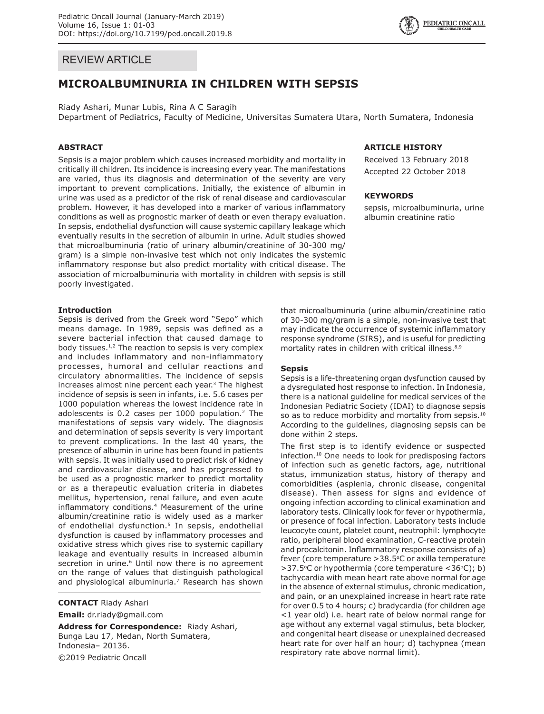## REVIEW ARTICLE

# **MICROALBUMINURIA IN CHILDREN WITH SEPSIS**

Riady Ashari, Munar Lubis, Rina A C Saragih Department of Pediatrics, Faculty of Medicine, Universitas Sumatera Utara, North Sumatera, Indonesia

## **ABSTRACT**

Sepsis is a major problem which causes increased morbidity and mortality in critically ill children. Its incidence is increasing every year. The manifestations are varied, thus its diagnosis and determination of the severity are very important to prevent complications. Initially, the existence of albumin in urine was used as a predictor of the risk of renal disease and cardiovascular problem. However, it has developed into a marker of various inflammatory conditions as well as prognostic marker of death or even therapy evaluation. In sepsis, endothelial dysfunction will cause systemic capillary leakage which eventually results in the secretion of albumin in urine. Adult studies showed that microalbuminuria (ratio of urinary albumin/creatinine of 30-300 mg/ gram) is a simple non-invasive test which not only indicates the systemic inflammatory response but also predict mortality with critical disease. The association of microalbuminuria with mortality in children with sepsis is still poorly investigated.

#### **Introduction**

Sepsis is derived from the Greek word "Sepo" which means damage. In 1989, sepsis was defined as a severe bacterial infection that caused damage to body tissues. $1/2$  The reaction to sepsis is very complex and includes inflammatory and non-inflammatory processes, humoral and cellular reactions and circulatory abnormalities. The incidence of sepsis increases almost nine percent each year.<sup>3</sup> The highest incidence of sepsis is seen in infants, i.e. 5.6 cases per 1000 population whereas the lowest incidence rate in adolescents is 0.2 cases per 1000 population.<sup>2</sup> The manifestations of sepsis vary widely. The diagnosis and determination of sepsis severity is very important to prevent complications. In the last 40 years, the presence of albumin in urine has been found in patients with sepsis. It was initially used to predict risk of kidney and cardiovascular disease, and has progressed to be used as a prognostic marker to predict mortality or as a therapeutic evaluation criteria in diabetes mellitus, hypertension, renal failure, and even acute inflammatory conditions.4 Measurement of the urine albumin/creatinine ratio is widely used as a marker of endothelial dysfunction.<sup>5</sup> In sepsis, endothelial dysfunction is caused by inflammatory processes and oxidative stress which gives rise to systemic capillary leakage and eventually results in increased albumin secretion in urine.<sup>6</sup> Until now there is no agreement on the range of values that distinguish pathological and physiological albuminuria.<sup>7</sup> Research has shown

**CONTACT** Riady Ashari

**Email:** dr.riady@gmail.com

**Address for Correspondence:** Riady Ashari, Bunga Lau 17, Medan, North Sumatera, Indonesia– 20136. ©2019 Pediatric Oncall

## **ARTICLE HISTORY**

Received 13 February 2018 Accepted 22 October 2018

#### **KEYWORDS**

sepsis, microalbuminuria, urine albumin creatinine ratio

that microalbuminuria (urine albumin/creatinine ratio of 30-300 mg/gram is a simple, non-invasive test that may indicate the occurrence of systemic inflammatory response syndrome (SIRS), and is useful for predicting mortality rates in children with critical illness.<sup>8,9</sup>

#### **Sepsis**

Sepsis is a life-threatening organ dysfunction caused by a dysregulated host response to infection. In Indonesia, there is a national guideline for medical services of the Indonesian Pediatric Society (IDAI) to diagnose sepsis so as to reduce morbidity and mortality from sepsis.<sup>10</sup> According to the guidelines, diagnosing sepsis can be done within 2 steps.

The first step is to identify evidence or suspected infection.10 One needs to look for predisposing factors of infection such as genetic factors, age, nutritional status, immunization status, history of therapy and comorbidities (asplenia, chronic disease, congenital disease). Then assess for signs and evidence of ongoing infection according to clinical examination and laboratory tests. Clinically look for fever or hypothermia, or presence of focal infection. Laboratory tests include leucocyte count, platelet count, neutrophil: lymphocyte ratio, peripheral blood examination, C-reactive protein and procalcitonin. Inflammatory response consists of a) fever (core temperature > 38.5°C or axilla temperature >37.5°C or hypothermia (core temperature <36°C); b) tachycardia with mean heart rate above normal for age in the absence of external stimulus, chronic medication, and pain, or an unexplained increase in heart rate rate for over 0.5 to 4 hours; c) bradycardia (for children age <1 year old) i.e. heart rate of below normal range for age without any external vagal stimulus, beta blocker, and congenital heart disease or unexplained decreased heart rate for over half an hour; d) tachypnea (mean respiratory rate above normal limit).

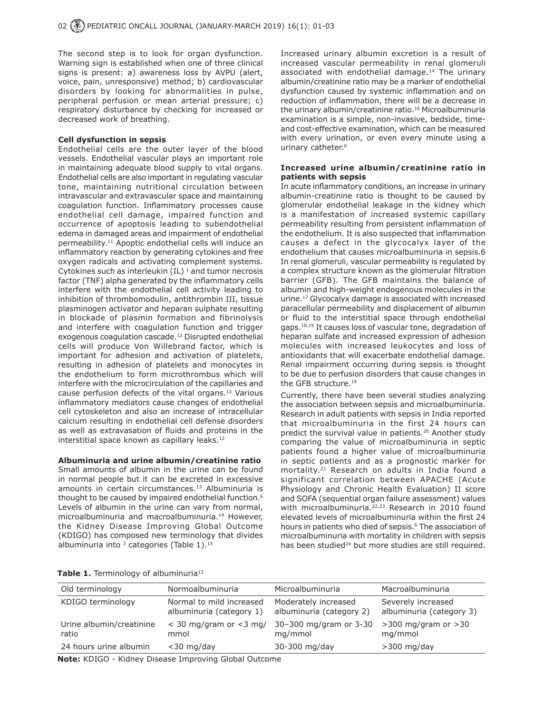The second step is to look for organ dysfunction. Warning sign is established when one of three clinical signs is present: a) awareness loss by AVPU (alert, voice, pain, unresponsive) method; b) cardiovascular disorders by looking for abnormalities in pulse, peripheral perfusion or mean arterial pressure; c) respiratory disturbance by checking for increased or decreased work of breathing.

### **Cell dysfunction in sepsis**

Endothelial cells are the outer layer of the blood vessels. Endothelial vascular plays an important role in maintaining adequate blood supply to vital organs. Endothelial cells are also important in regulating vascular tone, maintaining nutritional circulation between intravascular and extravascular space and maintaining coagulation function. Inflammatory processes cause endothelial cell damage, impaired function and occurrence of apoptosis leading to subendothelial edema in damaged areas and impairment of endothelial permeability.<sup>11</sup> Apoptic endothelial cells will induce an inflammatory reaction by generating cytokines and free oxygen radicals and activating complement systems. Cytokines such as interleukin  $(IL)^1$  and tumor necrosis factor (TNF) alpha generated by the inflammatory cells interfere with the endothelial cell activity leading to inhibition of thrombomodulin, antithrombin III, tissue plasminogen activator and heparan sulphate resulting in blockade of plasmin formation and fibrinolysis and interfere with coagulation function and trigger exogenous coagulation cascade.<sup>12</sup> Disrupted endothelial cells will produce Von Willebrand factor, which is important for adhesion and activation of platelets, resulting in adhesion of platelets and monocytes in the endothelium to form microthrombus which will interfere with the microcirculation of the capillaries and cause perfusion defects of the vital organs.12 Various inflammatory mediators cause changes of endothelial cell cytoskeleton and also an increase of intracellular calcium resulting in endothelial cell defense disorders as well as extravasation of fluids and proteins in the interstitial space known as capillary leaks.<sup>12</sup>

## **Albuminuria and urine albumin/creatinine ratio**

Small amounts of albumin in the urine can be found in normal people but it can be excreted in excessive amounts in certain circumstances.<sup>13</sup> Albuminuria is thought to be caused by impaired endothelial function.<sup>6</sup> Levels of albumin in the urine can vary from normal, microalbuminuria and macroalbuminuria.14 However, the Kidney Disease Improving Global Outcome (KDIGO) has composed new terminology that divides albuminuria into  $3$  categories (Table 1).<sup>15</sup>

Increased urinary albumin excretion is a result of increased vascular permeability in renal glomeruli associated with endothelial damage.<sup>14</sup> The urinary albumin/creatinine ratio may be a marker of endothelial dysfunction caused by systemic inflammation and on reduction of inflammation, there will be a decrease in the urinary albumin/creatinine ratio.16 Microalbuminuria examination is a simple, non-invasive, bedside, timeand cost-effective examination, which can be measured with every urination, or even every minute using a urinary catheter.<sup>9</sup>

### **Increased urine albumin/creatinine ratio in patients with sepsis**

In acute inflammatory conditions, an increase in urinary albumin-creatinine ratio is thought to be caused by glomerular endothelial leakage in the kidney which is a manifestation of increased systemic capillary permeability resulting from persistent inflammation of the endothelium. It is also suspected that inflammation causes a defect in the glycocalyx layer of the endothelium that causes microalbuminuria in sepsis.6 In renal glomeruli, vascular permeability is regulated by a complex structure known as the glomerular filtration barrier (GFB). The GFB maintains the balance of albumin and high-weight endogenous molecules in the urine.17 Glycocalyx damage is associated with increased paracellular permeability and displacement of albumin or fluid to the interstitial space through endothelial gaps.18,19 It causes loss of vascular tone, degradation of heparan sulfate and increased expression of adhesion molecules with increased leukocytes and loss of antioxidants that will exacerbate endothelial damage. Renal impairment occurring during sepsis is thought to be due to perfusion disorders that cause changes in the GFB structure.19

Currently, there have been several studies analyzing the association between sepsis and microalbuminuria. Research in adult patients with sepsis in India reported that microalbuminuria in the first 24 hours can predict the survival value in patients.<sup>20</sup> Another study comparing the value of microalbuminuria in septic patients found a higher value of microalbuminuria in septic patients and as a prognostic marker for mortality.21 Research on adults in India found a significant correlation between APACHE (Acute Physiology and Chronic Health Evaluation) II score and SOFA (sequential organ failure assessment) values with microalbuminuria.<sup>22,23</sup> Research in 2010 found elevated levels of microalbuminuria within the first 24 hours in patients who died of sepsis.<sup>6</sup> The association of microalbuminuria with mortality in children with sepsis has been studied<sup>24</sup> but more studies are still required.

| Table 1. Terminology of albuminuria <sup>13</sup> |  |
|---------------------------------------------------|--|
|---------------------------------------------------|--|

| Old terminology                                       | Normoalbuminuria                                     | Microalbuminuria                                 | Macroalbuminuria                               |  |
|-------------------------------------------------------|------------------------------------------------------|--------------------------------------------------|------------------------------------------------|--|
| KDIGO terminology                                     | Normal to mild increased<br>albuminuria (category 1) | Moderately increased<br>albuminuria (category 2) | Severely increased<br>albuminuria (category 3) |  |
| Urine albumin/creatinine<br>ratio                     | $<$ 30 mg/gram or $<$ 3 mg/<br>mmol                  | 30-300 mg/gram or 3-30<br>mg/mmol                | $>300$ mg/gram or $>30$<br>mg/mmol             |  |
| 24 hours urine albumin                                | $<$ 30 mg/day                                        | 30-300 mg/day                                    | $>300$ mg/day                                  |  |
| Neter KBICO - Kideon Biograph Termina Clabel Ontorner |                                                      |                                                  |                                                |  |

**Note:** KDIGO - Kidney Disease Improving Global Outcome